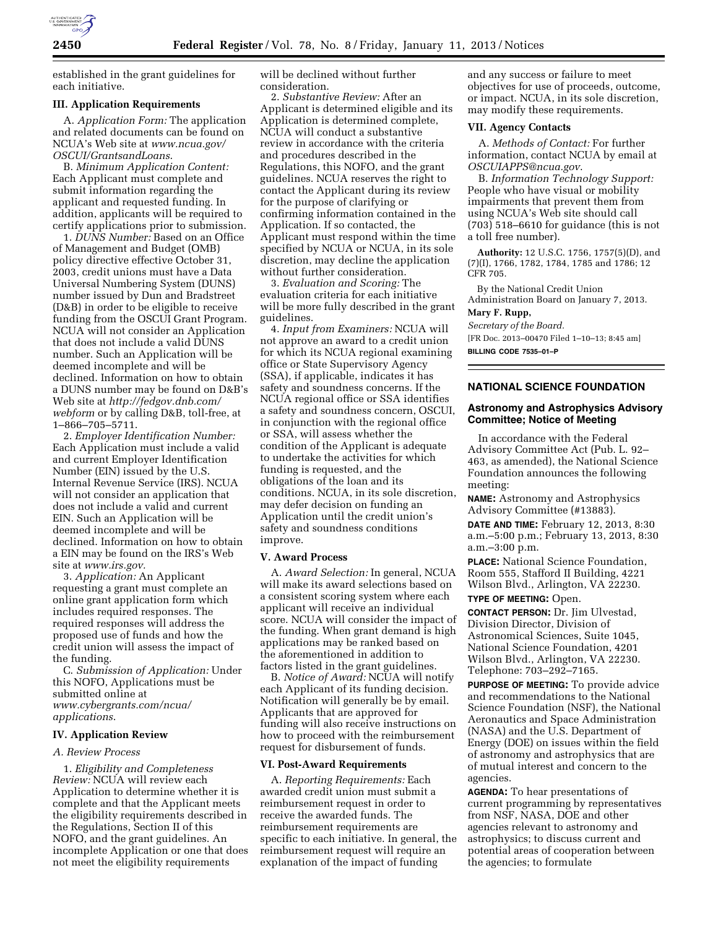

established in the grant guidelines for each initiative.

# **III. Application Requirements**

A. *Application Form:* The application and related documents can be found on NCUA's Web site at *[www.ncua.gov/](http://www.ncua.gov/OSCUI/GrantsandLoans)  [OSCUI/GrantsandLoans](http://www.ncua.gov/OSCUI/GrantsandLoans)*.

B. *Minimum Application Content:*  Each Applicant must complete and submit information regarding the applicant and requested funding. In addition, applicants will be required to certify applications prior to submission.

1. *DUNS Number:* Based on an Office of Management and Budget (OMB) policy directive effective October 31, 2003, credit unions must have a Data Universal Numbering System (DUNS) number issued by Dun and Bradstreet (D&B) in order to be eligible to receive funding from the OSCUI Grant Program. NCUA will not consider an Application that does not include a valid DUNS number. Such an Application will be deemed incomplete and will be declined. Information on how to obtain a DUNS number may be found on D&B's Web site at *[http://fedgov.dnb.com/](http://fedgov.dnb.com/webform)  [webform](http://fedgov.dnb.com/webform)* or by calling D&B, toll-free, at 1–866–705–5711.

2. *Employer Identification Number:*  Each Application must include a valid and current Employer Identification Number (EIN) issued by the U.S. Internal Revenue Service (IRS). NCUA will not consider an application that does not include a valid and current EIN. Such an Application will be deemed incomplete and will be declined. Information on how to obtain a EIN may be found on the IRS's Web site at *[www.irs.gov.](http://www.irs.gov)* 

3. *Application:* An Applicant requesting a grant must complete an online grant application form which includes required responses. The required responses will address the proposed use of funds and how the credit union will assess the impact of the funding.

C. *Submission of Application:* Under this NOFO, Applications must be submitted online at *[www.cybergrants.com/ncua/](http://www.cybergrants.com/ncua/applications) [applications](http://www.cybergrants.com/ncua/applications)*.

### **IV. Application Review**

## *A. Review Process*

1. *Eligibility and Completeness Review:* NCUA will review each Application to determine whether it is complete and that the Applicant meets the eligibility requirements described in the Regulations, Section II of this NOFO, and the grant guidelines. An incomplete Application or one that does not meet the eligibility requirements

will be declined without further consideration.

2. *Substantive Review:* After an Applicant is determined eligible and its Application is determined complete, NCUA will conduct a substantive review in accordance with the criteria and procedures described in the Regulations, this NOFO, and the grant guidelines. NCUA reserves the right to contact the Applicant during its review for the purpose of clarifying or confirming information contained in the Application. If so contacted, the Applicant must respond within the time specified by NCUA or NCUA, in its sole discretion, may decline the application without further consideration.

3. *Evaluation and Scoring:* The evaluation criteria for each initiative will be more fully described in the grant guidelines.

4. *Input from Examiners:* NCUA will not approve an award to a credit union for which its NCUA regional examining office or State Supervisory Agency (SSA), if applicable, indicates it has safety and soundness concerns. If the NCUA regional office or SSA identifies a safety and soundness concern, OSCUI, in conjunction with the regional office or SSA, will assess whether the condition of the Applicant is adequate to undertake the activities for which funding is requested, and the obligations of the loan and its conditions. NCUA, in its sole discretion, may defer decision on funding an Application until the credit union's safety and soundness conditions improve.

## **V. Award Process**

A. *Award Selection:* In general, NCUA will make its award selections based on a consistent scoring system where each applicant will receive an individual score. NCUA will consider the impact of the funding. When grant demand is high applications may be ranked based on the aforementioned in addition to factors listed in the grant guidelines.

B. *Notice of Award:* NCUA will notify each Applicant of its funding decision. Notification will generally be by email. Applicants that are approved for funding will also receive instructions on how to proceed with the reimbursement request for disbursement of funds.

# **VI. Post-Award Requirements**

A. *Reporting Requirements:* Each awarded credit union must submit a reimbursement request in order to receive the awarded funds. The reimbursement requirements are specific to each initiative. In general, the reimbursement request will require an explanation of the impact of funding

and any success or failure to meet objectives for use of proceeds, outcome, or impact. NCUA, in its sole discretion, may modify these requirements.

## **VII. Agency Contacts**

A. *Methods of Contact:* For further information, contact NCUA by email at *[OSCUIAPPS@ncua.gov](mailto:OSCUIAPPS@ncua.gov)*.

B. *Information Technology Support:*  People who have visual or mobility impairments that prevent them from using NCUA's Web site should call (703) 518–6610 for guidance (this is not a toll free number).

**Authority:** 12 U.S.C. 1756, 1757(5)(D), and (7)(I), 1766, 1782, 1784, 1785 and 1786; 12 CFR 705.

By the National Credit Union Administration Board on January 7, 2013. **Mary F. Rupp,** 

*Secretary of the Board.* 

[FR Doc. 2013–00470 Filed 1–10–13; 8:45 am] **BILLING CODE 7535–01–P** 

# **NATIONAL SCIENCE FOUNDATION**

# **Astronomy and Astrophysics Advisory Committee; Notice of Meeting**

In accordance with the Federal Advisory Committee Act (Pub. L. 92– 463, as amended), the National Science Foundation announces the following meeting:

**NAME:** Astronomy and Astrophysics Advisory Committee (#13883).

**DATE AND TIME:** February 12, 2013, 8:30 a.m.–5:00 p.m.; February 13, 2013, 8:30 a.m.–3:00 p.m.

**PLACE:** National Science Foundation, Room 555, Stafford II Building, 4221 Wilson Blvd., Arlington, VA 22230.

### **TYPE OF MEETING:** Open.

**CONTACT PERSON:** Dr. Jim Ulvestad, Division Director, Division of Astronomical Sciences, Suite 1045, National Science Foundation, 4201 Wilson Blvd., Arlington, VA 22230. Telephone: 703–292–7165.

**PURPOSE OF MEETING:** To provide advice and recommendations to the National Science Foundation (NSF), the National Aeronautics and Space Administration (NASA) and the U.S. Department of Energy (DOE) on issues within the field of astronomy and astrophysics that are of mutual interest and concern to the agencies.

**AGENDA:** To hear presentations of current programming by representatives from NSF, NASA, DOE and other agencies relevant to astronomy and astrophysics; to discuss current and potential areas of cooperation between the agencies; to formulate